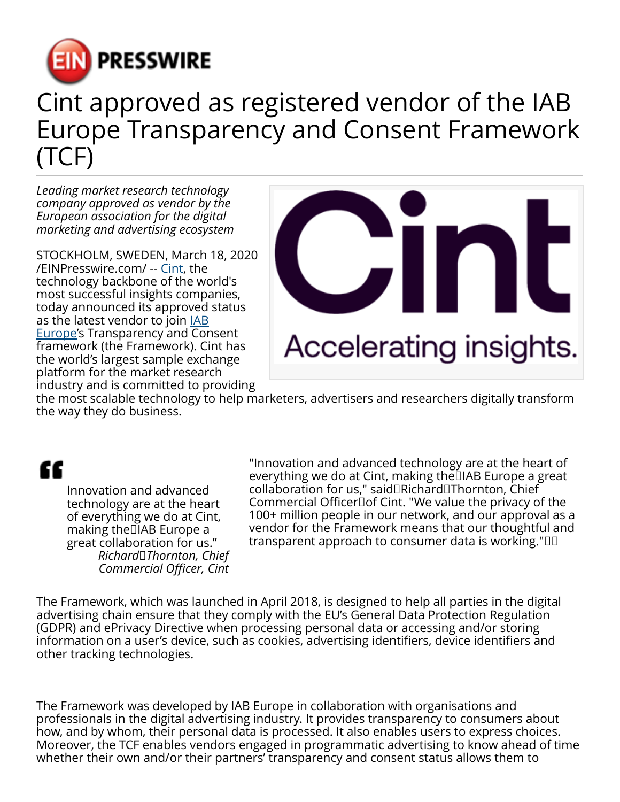

## Cint approved as registered vendor of the IAB Europe Transparency and Consent Framework (TCF)

*Leading market research technology company approved as vendor by the European association for the digital marketing and advertising ecosystem*

STOCKHOLM, SWEDEN, March 18, 2020 [/EINPresswire.com/](http://www.einpresswire.com) -- [Cint](http://www.cint.com), the technology backbone of the world's most successful insights companies, today announced its approved status as the latest vendor to join **[IAB](https://iabeurope.eu/)** [Europe](https://iabeurope.eu/)'s Transparency and Consent framework (the Framework). Cint has the world's largest sample exchange platform for the market research industry and is committed to providing



the most scalable technology to help marketers, advertisers and researchers digitally transform the way they do business.

## æ

Innovation and advanced technology are at the heart of everything we do at Cint, making the IIAB Europe a great collaboration for us." *Richard Thornton, Chief Commercial Officer, Cint*

"Innovation and advanced technology are at the heart of everything we do at Cint, making the IAB Europe a great collaboration for us," said Richard Thornton, Chief Commercial Officer of Cint. "We value the privacy of the 100+ million people in our network, and our approval as a vendor for the Framework means that our thoughtful and transparent approach to consumer data is working."  

The Framework, which was launched in April 2018, is designed to help all parties in the digital advertising chain ensure that they comply with the EU's General Data Protection Regulation (GDPR) and ePrivacy Directive when processing personal data or accessing and/or storing information on a user's device, such as cookies, advertising identifiers, device identifiers and other tracking technologies.

The Framework was developed by IAB Europe in collaboration with organisations and professionals in the digital advertising industry. It provides transparency to consumers about how, and by whom, their personal data is processed. It also enables users to express choices. Moreover, the TCF enables vendors engaged in programmatic advertising to know ahead of time whether their own and/or their partners' transparency and consent status allows them to